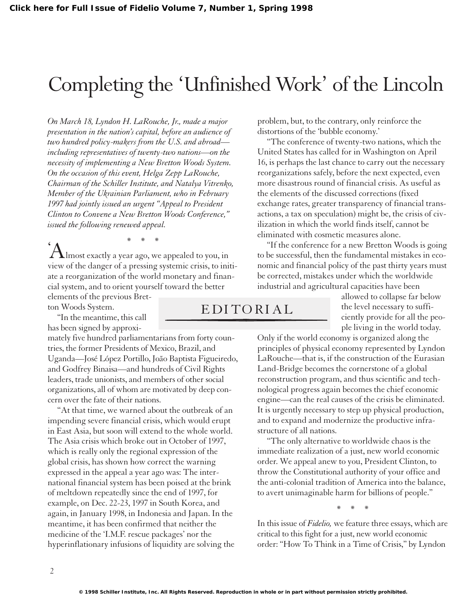## Completing the 'Unfinished Work' of the Lincoln

*On March 18, Lyndon H. LaRouche, Jr., made a major presentation in the nation's capital, before an audience of two hundred policy-makers from the U.S. and abroad including representatives of twenty-two nations—on the necessity of implementing a New Bretton Woods System. On the occasion of this event, Helga Zepp LaRouche, Chairman of the Schiller Institute, and Natalya Vitrenko, Member of the Ukrainian Parliament, who in February 1997 had jointly issued an urgent "Appeal to President Clinton to Convene a New Bretton Woods Conference," issued the following renewed appeal.*

 $A_{\text{Imost exactly a year ago, we appeared to you, in}}$ view of the danger of a pressing systemic crisis, to initiate a reorganization of the world monetary and financial system, and to orient yourself toward the better elements of the previous Bret-

ton Woods System.

"In the meantime, this call has been signed by approxi-

mately five hundred parliamentarians from forty countries, the former Presidents of Mexico, Brazil, and Uganda—José López Portillo, João Baptista Figueiredo, and Godfrey Binaisa—and hundreds of Civil Rights leaders, trade unionists, and members of other social organizations, all of whom are motivated by deep concern over the fate of their nations.

"At that time, we warned about the outbreak of an impending severe financial crisis, which would erupt in East Asia, but soon will extend to the whole world. The Asia crisis which broke out in October of 1997, which is really only the regional expression of the global crisis, has shown how correct the warning expressed in the appeal a year ago was: The international financial system has been poised at the brink of meltdown repeatedly since the end of 1997, for example, on Dec. 22-23, 1997 in South Korea, and again, in January 1998, in Indonesia and Japan. In the meantime, it has been confirmed that neither the medicine of the 'I.M.F. rescue packages' nor the hyperinflationary infusions of liquidity are solving the

problem, but, to the contrary, only reinforce the distortions of the 'bubble economy.'

"The conference of twenty-two nations, which the United States has called for in Washington on April 16, is perhaps the last chance to carry out the necessary reorganizations safely, before the next expected, even more disastrous round of financial crisis. As useful as the elements of the discussed corrections (fixed exchange rates, greater transparency of financial transactions, a tax on speculation) might be, the crisis of civilization in which the world finds itself, cannot be eliminated with cosmetic measures alone.

"If the conference for a new Bretton Woods is going to be successful, then the fundamental mistakes in economic and financial policy of the past thirty years must be corrected, mistakes under which the worldwide industrial and agricultural capacities have been

## EDITORIAL

allowed to collapse far below the level necessary to sufficiently provide for all the people living in the world today.

Only if the world economy is organized along the principles of physical economy represented by Lyndon LaRouche—that is, if the construction of the Eurasian Land-Bridge becomes the cornerstone of a global reconstruction program, and thus scientific and technological progress again becomes the chief economic engine—can the real causes of the crisis be eliminated. It is urgently necessary to step up physical production, and to expand and modernize the productive infrastructure of all nations.

"The only alternative to worldwide chaos is the immediate realization of a just, new world economic order. We appeal anew to you, President Clinton, to throw the Constitutional authority of your office and the anti-colonial tradition of America into the balance, to avert unimaginable harm for billions of people."

\* \* \*

In this issue of *Fidelio,* we feature three essays, which are critical to this fight for a just, new world economic order: "How To Think in a Time of Crisis," by Lyndon